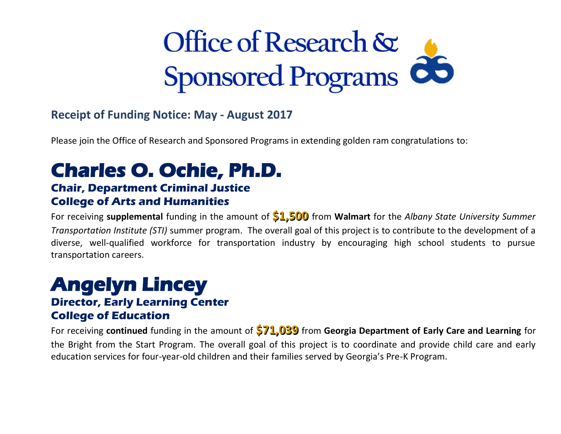# **Office of Research & Sponsored Programs**

#### **Receipt of Funding Notice: May - August 2017**

Please join the Office of Research and Sponsored Programs in extending golden ram congratulations to:

# **Charles O. Ochie, Ph.D.**

#### **Chair, Department Criminal Justice College of Arts and Humanities**

 For receiving **supplemental** funding in the amount of **\$1,500** from **Walmart** for the *Albany State University Summer Transportation Institute (STI)* summer program. The overall goal of this project is to contribute to the development of a diverse, well-qualified workforce for transportation industry by encouraging high school students to pursue transportation careers.

### **Angelyn Lincey**

#### **Director, Early Learning Center College of Education**

 For receiving **continued** funding in the amount of **\$71,039** from **Georgia Department of Early Care and Learning** for the Bright from the Start Program. The overall goal of this project is to coordinate and provide child care and early education services for four-year-old children and their families served by Georgia's Pre-K Program.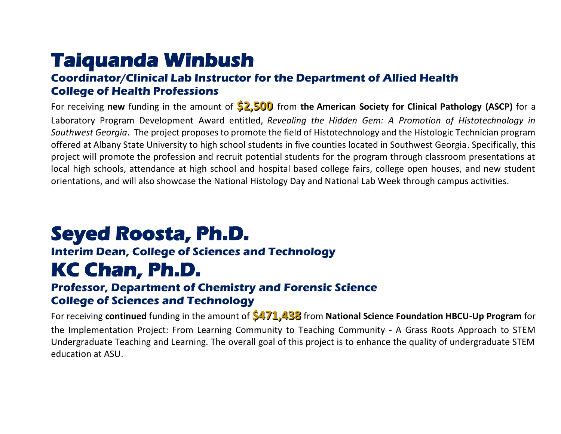# **Taiquanda Winbush**

#### **Coordinator/Clinical Lab Instructor for the Department of Allied Health College of Health Professions**

 For receiving **new** funding in the amount of **\$2,500** from **the American Society for Clinical Pathology (ASCP)** for a Laboratory Program Development Award entitled, *Revealing the Hidden Gem: A Promotion of Histotechnology in Southwest Georgia*. The project proposes to promote the field of Histotechnology and the Histologic Technician program offered at Albany State University to high school students in five counties located in Southwest Georgia. Specifically, this project will promote the profession and recruit potential students for the program through classroom presentations at local high schools, attendance at high school and hospital based college fairs, college open houses, and new student orientations, and will also showcase the National Histology Day and National Lab Week through campus activities.

# **Seyed Roosta, Ph.D.**

#### **Interim Dean, College of Sciences and Technology**

### **KC Chan, Ph.D.**

#### **Professor, Department of Chemistry and Forensic Science College of Sciences and Technology**

 For receiving **continued** funding in the amount of **\$471,438** from **National Science Foundation HBCU-Up Program** for the Implementation Project: From Learning Community to Teaching Community - A Grass Roots Approach to STEM Undergraduate Teaching and Learning. The overall goal of this project is to enhance the quality of undergraduate STEM education at ASU.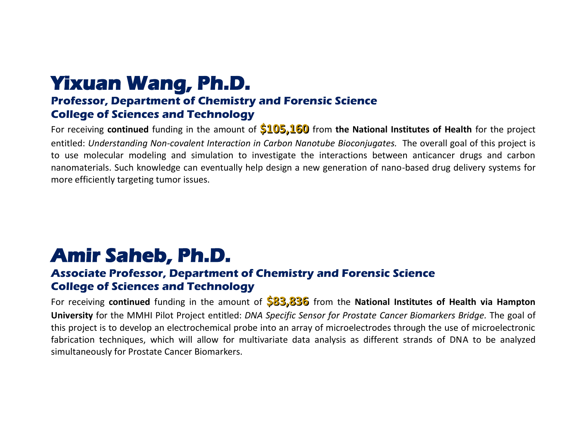# **Yixuan Wang, Ph.D.**

#### **Professor, Department of Chemistry and Forensic Science College of Sciences and Technology**

 For receiving **continued** funding in the amount of **\$105,160** from **the National Institutes of Health** for the project entitled: Understanding Non-covalent Interaction in Carbon Nanotube Bioconjugates. The overall goal of this project is to use molecular modeling and simulation to investigate the interactions between anticancer drugs and carbon nanomaterials. Such knowledge can eventually help design a new generation of nano-based drug delivery systems for more efficiently targeting tumor issues.

### **Amir Saheb, Ph.D.**

#### **Associate Professor, Department of Chemistry and Forensic Science College of Sciences and Technology**

 For receiving **continued** funding in the amount of **\$83,836** from the **National Institutes of Health via Hampton**   **University** for the MMHI Pilot Project entitled: *DNA Specific Sensor for Prostate Cancer Biomarkers Bridge.* The goal of this project is to develop an electrochemical probe into an array of microelectrodes through the use of microelectronic fabrication techniques, which will allow for multivariate data analysis as different strands of DNA to be analyzed simultaneously for Prostate Cancer Biomarkers.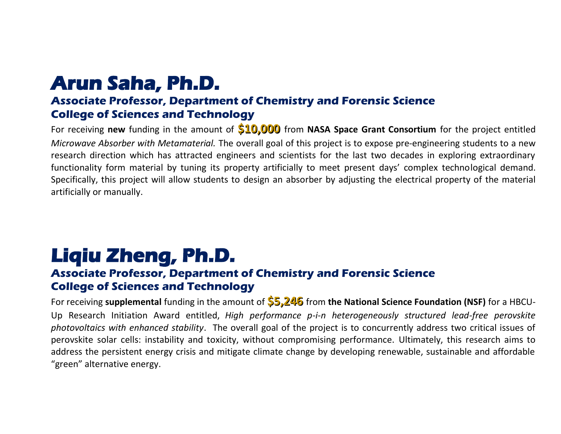## **Arun Saha, Ph.D.**

#### **Associate Professor, Department of Chemistry and Forensic Science College of Sciences and Technology**

 For receiving **new** funding in the amount of **\$10,000** from **NASA Space Grant Consortium** for the project entitled  *Microwave Absorber with Metamaterial.* The overall goal of this project is to expose pre-engineering students to a new research direction which has attracted engineers and scientists for the last two decades in exploring extraordinary functionality form material by tuning its property artificially to meet present days' complex technological demand. Specifically, this project will allow students to design an absorber by adjusting the electrical property of the material artificially or manually.

# **Liqiu Zheng, Ph.D.**

#### **Associate Professor, Department of Chemistry and Forensic Science College of Sciences and Technology**

 For receiving **supplemental** funding in the amount of **\$5,246** from **the National Science Foundation (NSF)** for a HBCU- Up Research Initiation Award entitled, *High performance p-i-n heterogeneously structured lead-free perovskite photovoltaics with enhanced stability*. The overall goal of the project is to concurrently address two critical issues of perovskite solar cells: instability and toxicity, without compromising performance. Ultimately, this research aims to address the persistent energy crisis and mitigate climate change by developing renewable, sustainable and affordable "green" alternative energy.